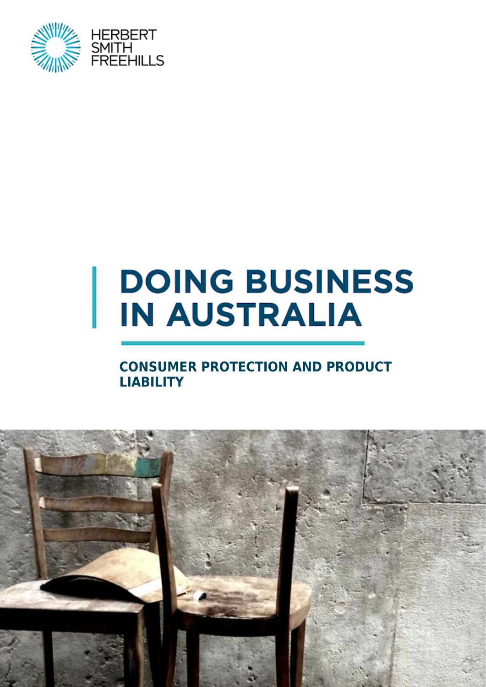

# **DOING BUSINESS IN AUSTRALIA**

## **CONSUMER PROTECTION AND PRODUCT LIABILITY**

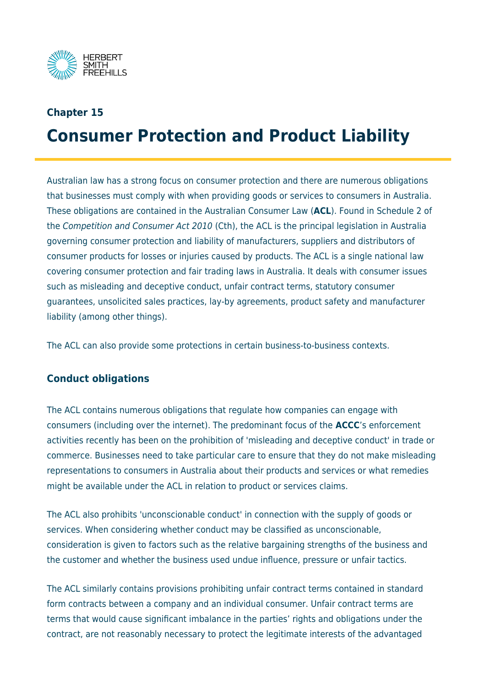

## **Chapter 15**

# **Consumer Protection and Product Liability**

Australian law has a strong focus on consumer protection and there are numerous obligations that businesses must comply with when providing goods or services to consumers in Australia. These obligations are contained in the Australian Consumer Law (**ACL**). Found in Schedule 2 of the Competition and Consumer Act 2010 (Cth), the ACL is the principal legislation in Australia governing consumer protection and liability of manufacturers, suppliers and distributors of consumer products for losses or injuries caused by products. The ACL is a single national law covering consumer protection and fair trading laws in Australia. It deals with consumer issues such as misleading and deceptive conduct, unfair contract terms, statutory consumer guarantees, unsolicited sales practices, lay-by agreements, product safety and manufacturer liability (among other things).

The ACL can also provide some protections in certain business-to-business contexts.

## **Conduct obligations**

The ACL contains numerous obligations that regulate how companies can engage with consumers (including over the internet). The predominant focus of the **ACCC**'s enforcement activities recently has been on the prohibition of 'misleading and deceptive conduct' in trade or commerce. Businesses need to take particular care to ensure that they do not make misleading representations to consumers in Australia about their products and services or what remedies might be available under the ACL in relation to product or services claims.

The ACL also prohibits 'unconscionable conduct' in connection with the supply of goods or services. When considering whether conduct may be classified as unconscionable, consideration is given to factors such as the relative bargaining strengths of the business and the customer and whether the business used undue influence, pressure or unfair tactics.

The ACL similarly contains provisions prohibiting unfair contract terms contained in standard form contracts between a company and an individual consumer. Unfair contract terms are terms that would cause significant imbalance in the parties' rights and obligations under the contract, are not reasonably necessary to protect the legitimate interests of the advantaged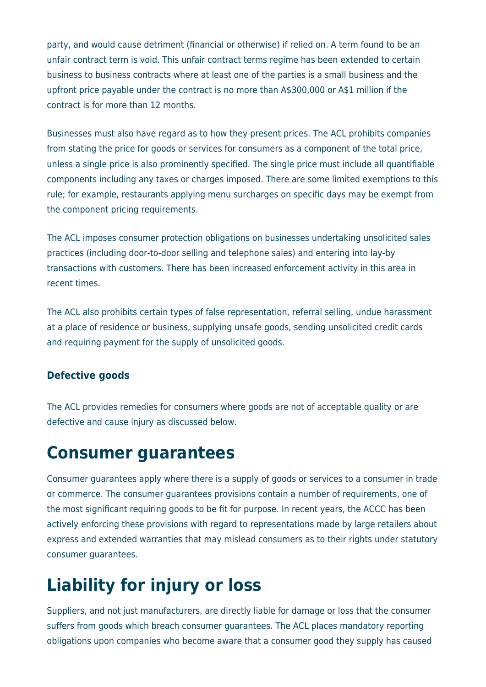party, and would cause detriment (financial or otherwise) if relied on. A term found to be an unfair contract term is void. This unfair contract terms regime has been extended to certain business to business contracts where at least one of the parties is a small business and the upfront price payable under the contract is no more than A\$300,000 or A\$1 million if the contract is for more than 12 months.

Businesses must also have regard as to how they present prices. The ACL prohibits companies from stating the price for goods or services for consumers as a component of the total price, unless a single price is also prominently specified. The single price must include all quantifiable components including any taxes or charges imposed. There are some limited exemptions to this rule; for example, restaurants applying menu surcharges on specific days may be exempt from the component pricing requirements.

The ACL imposes consumer protection obligations on businesses undertaking unsolicited sales practices (including door-to-door selling and telephone sales) and entering into lay-by transactions with customers. There has been increased enforcement activity in this area in recent times.

The ACL also prohibits certain types of false representation, referral selling, undue harassment at a place of residence or business, supplying unsafe goods, sending unsolicited credit cards and requiring payment for the supply of unsolicited goods.

## **Defective goods**

The ACL provides remedies for consumers where goods are not of acceptable quality or are defective and cause injury as discussed below.

## **Consumer guarantees**

Consumer guarantees apply where there is a supply of goods or services to a consumer in trade or commerce. The consumer guarantees provisions contain a number of requirements, one of the most significant requiring goods to be fit for purpose. In recent years, the ACCC has been actively enforcing these provisions with regard to representations made by large retailers about express and extended warranties that may mislead consumers as to their rights under statutory consumer guarantees.

# **Liability for injury or loss**

Suppliers, and not just manufacturers, are directly liable for damage or loss that the consumer suffers from goods which breach consumer guarantees. The ACL places mandatory reporting obligations upon companies who become aware that a consumer good they supply has caused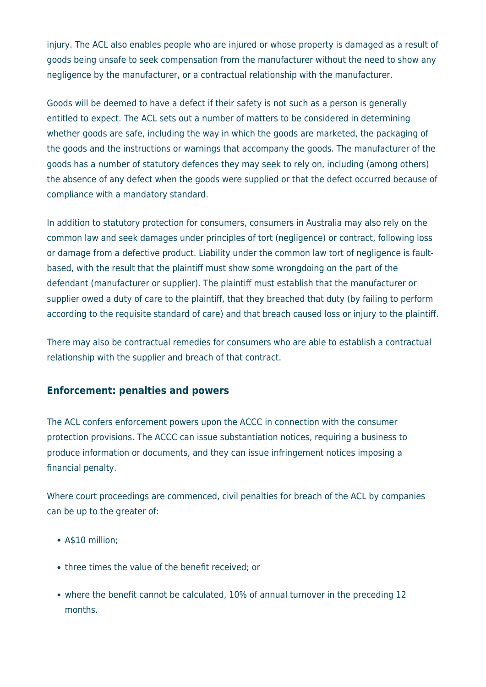injury. The ACL also enables people who are injured or whose property is damaged as a result of goods being unsafe to seek compensation from the manufacturer without the need to show any negligence by the manufacturer, or a contractual relationship with the manufacturer.

Goods will be deemed to have a defect if their safety is not such as a person is generally entitled to expect. The ACL sets out a number of matters to be considered in determining whether goods are safe, including the way in which the goods are marketed, the packaging of the goods and the instructions or warnings that accompany the goods. The manufacturer of the goods has a number of statutory defences they may seek to rely on, including (among others) the absence of any defect when the goods were supplied or that the defect occurred because of compliance with a mandatory standard.

In addition to statutory protection for consumers, consumers in Australia may also rely on the common law and seek damages under principles of tort (negligence) or contract, following loss or damage from a defective product. Liability under the common law tort of negligence is faultbased, with the result that the plaintiff must show some wrongdoing on the part of the defendant (manufacturer or supplier). The plaintiff must establish that the manufacturer or supplier owed a duty of care to the plaintiff, that they breached that duty (by failing to perform according to the requisite standard of care) and that breach caused loss or injury to the plaintiff.

There may also be contractual remedies for consumers who are able to establish a contractual relationship with the supplier and breach of that contract.

## **Enforcement: penalties and powers**

The ACL confers enforcement powers upon the ACCC in connection with the consumer protection provisions. The ACCC can issue substantiation notices, requiring a business to produce information or documents, and they can issue infringement notices imposing a financial penalty.

Where court proceedings are commenced, civil penalties for breach of the ACL by companies can be up to the greater of:

- A\$10 million;
- three times the value of the benefit received; or
- where the benefit cannot be calculated, 10% of annual turnover in the preceding 12 months.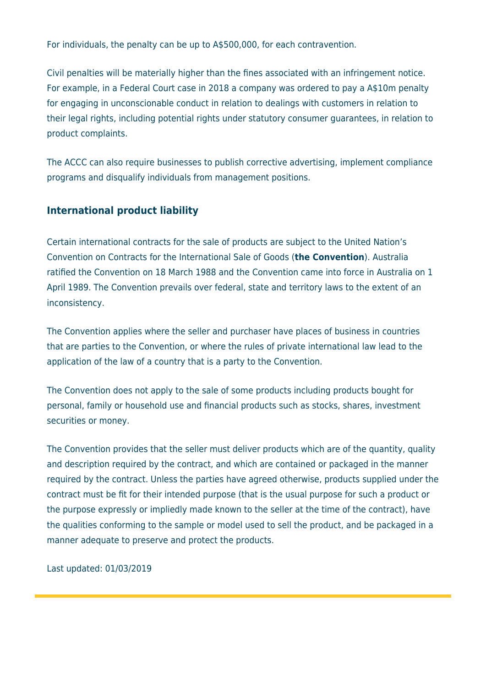For individuals, the penalty can be up to A\$500,000, for each contravention.

Civil penalties will be materially higher than the fines associated with an infringement notice. For example, in a Federal Court case in 2018 a company was ordered to pay a A\$10m penalty for engaging in unconscionable conduct in relation to dealings with customers in relation to their legal rights, including potential rights under statutory consumer guarantees, in relation to product complaints.

The ACCC can also require businesses to publish corrective advertising, implement compliance programs and disqualify individuals from management positions.

## **International product liability**

Certain international contracts for the sale of products are subject to the United Nation's Convention on Contracts for the International Sale of Goods (**the Convention**). Australia ratified the Convention on 18 March 1988 and the Convention came into force in Australia on 1 April 1989. The Convention prevails over federal, state and territory laws to the extent of an inconsistency.

The Convention applies where the seller and purchaser have places of business in countries that are parties to the Convention, or where the rules of private international law lead to the application of the law of a country that is a party to the Convention.

The Convention does not apply to the sale of some products including products bought for personal, family or household use and financial products such as stocks, shares, investment securities or money.

The Convention provides that the seller must deliver products which are of the quantity, quality and description required by the contract, and which are contained or packaged in the manner required by the contract. Unless the parties have agreed otherwise, products supplied under the contract must be fit for their intended purpose (that is the usual purpose for such a product or the purpose expressly or impliedly made known to the seller at the time of the contract), have the qualities conforming to the sample or model used to sell the product, and be packaged in a manner adequate to preserve and protect the products.

Last updated: 01/03/2019